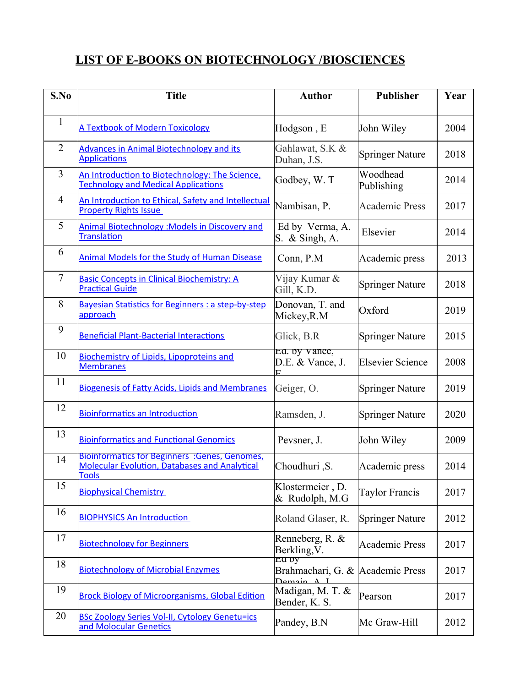## **LIST OF E-BOOKS ON BIOTECHNOLOGY /BIOSCIENCES**

| S.No           | <b>Title</b>                                                                                                           | <b>Author</b>                                       | <b>Publisher</b>        | Year |
|----------------|------------------------------------------------------------------------------------------------------------------------|-----------------------------------------------------|-------------------------|------|
| $\mathbf{1}$   | <b>A Textbook of Modern Toxicology</b>                                                                                 | Hodgson, E                                          | John Wiley              | 2004 |
| $\overline{2}$ | <b>Advances in Animal Biotechnology and its</b><br><b>Applications</b>                                                 | Gahlawat, S.K &<br>Duhan, J.S.                      | <b>Springer Nature</b>  | 2018 |
| 3              | An Introduction to Biotechnology: The Science,<br><b>Technology and Medical Applications</b>                           | Godbey, W. T                                        | Woodhead<br>Publishing  | 2014 |
| $\overline{4}$ | An Introduction to Ethical, Safety and Intellectual<br><b>Property Rights Issue</b>                                    | Nambisan, P.                                        | <b>Academic Press</b>   | 2017 |
| 5              | <b>Animal Biotechnology: Models in Discovery and</b><br><b>Translation</b>                                             | Ed by Verma, A.<br>S. & Singh, A.                   | Elsevier                | 2014 |
| 6              | <b>Animal Models for the Study of Human Disease</b>                                                                    | Conn, P.M                                           | Academic press          | 2013 |
| $\overline{7}$ | <b>Basic Concepts in Clinical Biochemistry: A</b><br><b>Practical Guide</b>                                            | Vijay Kumar &<br>Gill, K.D.                         | <b>Springer Nature</b>  | 2018 |
| 8              | <b>Bayesian Statistics for Beginners: a step-by-step</b><br>approach                                                   | Donovan, T. and<br>Mickey, R.M                      | Oxford                  | 2019 |
| 9              | <b>Beneficial Plant-Bacterial Interactions</b>                                                                         | Glick, B.R                                          | <b>Springer Nature</b>  | 2015 |
| 10             | <b>Biochemistry of Lipids, Lipoproteins and</b><br><b>Membranes</b>                                                    | Ed. by vance,<br>D.E. & Vance, J.                   | <b>Elsevier Science</b> | 2008 |
| 11             | <b>Biogenesis of Fatty Acids, Lipids and Membranes</b>                                                                 | Geiger, O.                                          | <b>Springer Nature</b>  | 2019 |
| 12             | <b>Bioinformatics an Introduction</b>                                                                                  | Ramsden, J.                                         | <b>Springer Nature</b>  | 2020 |
| 13             | <b>Bioinformatics and Functional Genomics</b>                                                                          | Pevsner, J.                                         | John Wiley              | 2009 |
| 14             | Bioinformatics for Beginners : Genes, Genomes,<br><b>Molecular Evolution, Databases and Analytical</b><br><b>Tools</b> | S. Choudhuri                                        | Academic press          | 2014 |
| 15             | <b>Biophysical Chemistry</b>                                                                                           | Klostermeier, D.<br>& Rudolph, M.G                  | <b>Taylor Francis</b>   | 2017 |
| 16             | <b>BIOPHYSICS An Introduction</b>                                                                                      | Roland Glaser, R.                                   | <b>Springer Nature</b>  | 2012 |
| 17             | <b>Biotechnology for Beginners</b>                                                                                     | Renneberg, R. &<br>Berkling, V.                     | <b>Academic Press</b>   | 2017 |
| 18             | <b>Biotechnology of Microbial Enzymes</b>                                                                              | Ed by<br>Brahmachari, G. &<br>$D$ emain $\Lambda$ I | <b>Academic Press</b>   | 2017 |
| 19             | <b>Brock Biology of Microorganisms, Global Edition</b>                                                                 | Madigan, M. T. &<br>Bender, K. S.                   | Pearson                 | 2017 |
| 20             | <b>BSc Zoology Series Vol-II, Cytology Genetu=ics</b><br>and Molocular Genetics                                        | Pandey, B.N                                         | Mc Graw-Hill            | 2012 |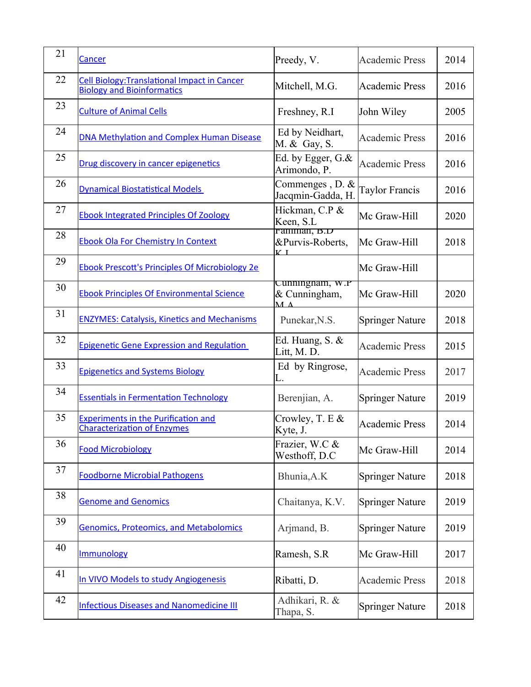| 21 | Cancer                                                                                   | Preedy, V.                                                         | <b>Academic Press</b>  | 2014 |
|----|------------------------------------------------------------------------------------------|--------------------------------------------------------------------|------------------------|------|
| 22 | <b>Cell Biology: Translational Impact in Cancer</b><br><b>Biology and Bioinformatics</b> | Mitchell, M.G.                                                     | <b>Academic Press</b>  | 2016 |
| 23 | <b>Culture of Animal Cells</b>                                                           | Freshney, R.I                                                      | John Wiley             | 2005 |
| 24 | DNA Methylation and Complex Human Disease                                                | Ed by Neidhart,<br>M. & Gay, S.                                    | <b>Academic Press</b>  | 2016 |
| 25 | Drug discovery in cancer epigenetics                                                     | Ed. by Egger, G.&<br>Arimondo, P.                                  | <b>Academic Press</b>  | 2016 |
| 26 | <b>Dynamical Biostatistical Models</b>                                                   | Commenges, D. &<br>Jacqmin-Gadda, H.                               | Taylor Francis         | 2016 |
| 27 | <b>Ebook Integrated Principles Of Zoology</b>                                            | Hickman, C.P &<br>Keen, S.L                                        | Mc Graw-Hill           | 2020 |
| 28 | <b>Ebook Ola For Chemistry In Context</b>                                                | Faniman, B.D<br>&Purvis-Roberts,<br>$K_{\perp}$                    | Mc Graw-Hill           | 2018 |
| 29 | <b>Ebook Prescott's Principles Of Microbiology 2e</b>                                    |                                                                    | Mc Graw-Hill           |      |
| 30 | <b>Ebook Principles Of Environmental Science</b>                                         | Cunningnam, w.r<br>& Cunningham,<br>$\mathbf{M}$ $\mathbf{\Delta}$ | Mc Graw-Hill           | 2020 |
| 31 | <b>ENZYMES: Catalysis, Kinetics and Mechanisms</b>                                       | Punekar, N.S.                                                      | <b>Springer Nature</b> | 2018 |
| 32 | <b>Epigenetic Gene Expression and Regulation</b>                                         | Ed. Huang, S. &<br>Litt, M. D.                                     | <b>Academic Press</b>  | 2015 |
| 33 | <b>Epigenetics and Systems Biology</b>                                                   | Ed by Ringrose,<br>L.                                              | <b>Academic Press</b>  | 2017 |
| 34 | <b>Essentials in Fermentation Technology</b>                                             | Berenjian, A.                                                      | <b>Springer Nature</b> | 2019 |
| 35 | <b>Experiments in the Purification and</b><br><b>Characterization of Enzymes</b>         | Crowley, T. E &<br>Kyte, J.                                        | <b>Academic Press</b>  | 2014 |
| 36 | <b>Food Microbiology</b>                                                                 | Frazier, W.C &<br>Westhoff, D.C                                    | Mc Graw-Hill           | 2014 |
| 37 | <b>Foodborne Microbial Pathogens</b>                                                     | Bhunia, A.K                                                        | <b>Springer Nature</b> | 2018 |
| 38 | <b>Genome and Genomics</b>                                                               | Chaitanya, K.V.                                                    | <b>Springer Nature</b> | 2019 |
| 39 | <b>Genomics, Proteomics, and Metabolomics</b>                                            | Arjmand, B.                                                        | <b>Springer Nature</b> | 2019 |
| 40 | Immunology                                                                               | Ramesh, S.R                                                        | Mc Graw-Hill           | 2017 |
| 41 | In VIVO Models to study Angiogenesis                                                     | Ribatti, D.                                                        | <b>Academic Press</b>  | 2018 |
| 42 | <b>Infectious Diseases and Nanomedicine III</b>                                          | Adhikari, R. &<br>Thapa, S.                                        | <b>Springer Nature</b> | 2018 |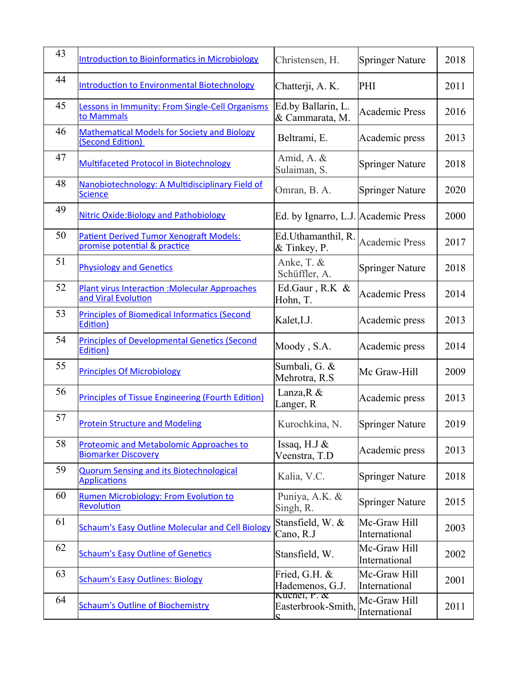| 43 | <b>Introduction to Bioinformatics in Microbiology</b>                          | Christensen, H.                           | <b>Springer Nature</b>        | 2018 |
|----|--------------------------------------------------------------------------------|-------------------------------------------|-------------------------------|------|
| 44 | <b>Introduction to Environmental Biotechnology</b>                             | Chatterji, A. K.                          | PHI                           | 2011 |
| 45 | essons in Immunity: From Single-Cell Organisms<br>to Mammals                   | Ed.by Ballarin, L.<br>& Cammarata, M.     | <b>Academic Press</b>         | 2016 |
| 46 | <b>Mathematical Models for Society and Biology</b><br>(Second Edition)         | Beltrami, E.                              | Academic press                | 2013 |
| 47 | <b>Multifaceted Protocol in Biotechnology</b>                                  | Amid, A. &<br>Sulaiman, S.                | <b>Springer Nature</b>        | 2018 |
| 48 | Nanobiotechnology: A Multidisciplinary Field of<br><b>Science</b>              | Omran, B. A.                              | <b>Springer Nature</b>        | 2020 |
| 49 | <b>Nitric Oxide:Biology and Pathobiology</b>                                   | Ed. by Ignarro, L.J. Academic Press       |                               | 2000 |
| 50 | <b>Patient Derived Tumor Xenograft Models:</b><br>promise potential & practice | Ed.Uthamanthil, R.<br>& Tinkey, P.        | <b>Academic Press</b>         | 2017 |
| 51 | <b>Physiology and Genetics</b>                                                 | Anke, T. &<br>Schüffler, A.               | <b>Springer Nature</b>        | 2018 |
| 52 | <b>Plant virus Interaction : Molecular Approaches</b><br>and Viral Evolution   | Ed.Gaur, R.K &<br>Hohn, T.                | <b>Academic Press</b>         | 2014 |
| 53 | <b>Principles of Biomedical Informatics (Second</b><br>Edition)                | Kalet, I.J.                               | Academic press                | 2013 |
| 54 | <b>Principles of Developmental Genetics (Second</b><br>Edition)                | Moody, S.A.                               | Academic press                | 2014 |
| 55 | <b>Principles Of Microbiology</b>                                              | Sumbali, G. &<br>Mehrotra, R.S            | Mc Graw-Hill                  | 2009 |
| 56 | <b>Principles of Tissue Engineering (Fourth Edition)</b>                       | Lanza, R &<br>Langer, R                   | Academic press                | 2013 |
| 57 | <b>Protein Structure and Modeling</b>                                          | Kurochkina, N.                            | Springer Nature               | 2019 |
| 58 | <b>Proteomic and Metabolomic Approaches to</b><br><b>Biomarker Discovery</b>   | Issaq, H.J &<br>Veenstra, T.D             | Academic press                | 2013 |
| 59 | <b>Quorum Sensing and its Biotechnological</b><br><b>Applications</b>          | Kalia, V.C.                               | <b>Springer Nature</b>        | 2018 |
| 60 | <b>Rumen Microbiology: From Evolution to</b><br>Revolution                     | Puniya, A.K. &<br>Singh, R.               | <b>Springer Nature</b>        | 2015 |
| 61 | <b>Schaum's Easy Outline Molecular and Cell Biology</b>                        | Stansfield, W. &<br>Cano, R.J             | Mc-Graw Hill<br>International | 2003 |
| 62 | <b>Schaum's Easy Outline of Genetics</b>                                       | Stansfield, W.                            | Mc-Graw Hill<br>International | 2002 |
| 63 | <b>Schaum's Easy Outlines: Biology</b>                                         | Fried, G.H. &<br>Hademenos, G.J.          | Mc-Graw Hill<br>International | 2001 |
| 64 | <b>Schaum's Outline of Biochemistry</b>                                        | Kuchel, P. $\alpha$<br>Easterbrook-Smith, | Mc-Graw Hill<br>International | 2011 |